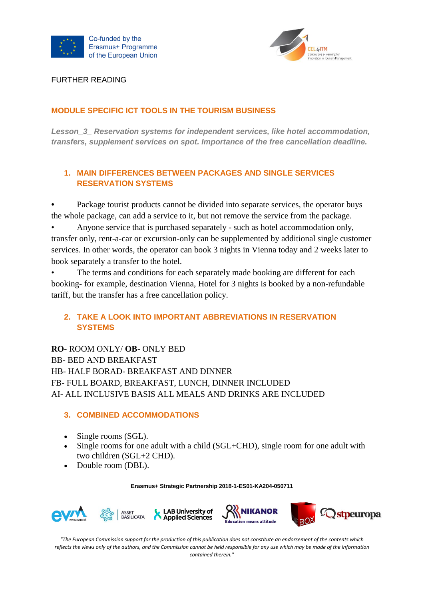



FURTHER READING

# **MODULE SPECIFIC ICT TOOLS IN THE TOURISM BUSINESS**

*Lesson\_3\_ Reservation systems for independent services, like hotel accommodation, transfers, supplement services on spot. Importance of the free cancellation deadline.*

# **1. MAIN DIFFERENCES BETWEEN PACKAGES AND SINGLE SERVICES RESERVATION SYSTEMS**

**•** Package tourist products cannot be divided into separate services, the operator buys the whole package, can add a service to it, but not remove the service from the package.

• Anyone service that is purchased separately - such as hotel accommodation only, transfer only, rent-a-car or excursion-only can be supplemented by additional single customer services. In other words, the operator can book 3 nights in Vienna today and 2 weeks later to book separately a transfer to the hotel.

The terms and conditions for each separately made booking are different for each booking- for example, destination Vienna, Hotel for 3 nights is booked by a non-refundable tariff, but the transfer has a free cancellation policy.

# **2. TAKE A LOOK INTO IMPORTANT ABBREVIATIONS IN RESERVATION SYSTEMS**

**RO**- ROOM ONLY/ **OB**- ONLY BED BB- BED AND BREAKFAST HB- HALF BORAD- BREAKFAST AND DINNER FB- FULL BOARD, BREAKFAST, LUNCH, DINNER INCLUDED AI- ALL INCLUSIVE BASIS ALL MEALS AND DRINKS ARE INCLUDED

# **3. COMBINED ACCOMMODATIONS**

- Single rooms (SGL).
- Single rooms for one adult with a child (SGL+CHD), single room for one adult with two children (SGL+2 CHD).
- Double room (DBL).

**Erasmus+ Strategic Partnership 2018-1-ES01-KA204-050711**





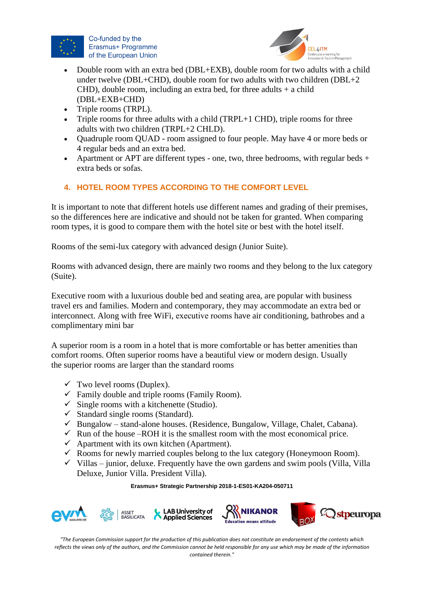

Co-funded by the Erasmus+ Programme of the European Union



- Double room with an extra bed (DBL+EXB), double room for two adults with a child under twelve (DBL+CHD), double room for two adults with two children (DBL+2 CHD), double room, including an extra bed, for three adults  $+$  a child (DBL+EXB+CHD)
- Triple rooms (TRPL).
- Triple rooms for three adults with a child (TRPL+1 CHD), triple rooms for three adults with two children (TRPL+2 CHLD).
- Quadruple room QUAD room assigned to four people. May have 4 or more beds or 4 regular beds and an extra bed.
- Apartment or APT are different types one, two, three bedrooms, with regular beds  $+$ extra beds or sofas.

# **4. HOTEL ROOM TYPES ACCORDING TO THE COMFORT LEVEL**

It is important to note that different hotels use different names and grading of their premises, so the differences here are indicative and should not be taken for granted. When comparing room types, it is good to compare them with the hotel site or best with the hotel itself.

Rooms of the semi-lux category with advanced design (Junior Suite).

Rooms with advanced design, there are mainly two rooms and they belong to the lux category (Suite).

Executive room with a luxurious double bed and seating area, are popular with business travel ers and families. Modern and contemporary, they may accommodate an extra bed or interconnect. Along with free WiFi, еxecutive rooms have air conditioning, bathrobes and a complimentary mini bar

A superior room is a room in a hotel that is more comfortable or has better amenities than comfort rooms. Often superior rooms have a beautiful view or modern design. Usually the superior rooms are larger than the standard rooms

- $\checkmark$  Two level rooms (Duplex).
- $\checkmark$  Family double and triple rooms (Family Room).
- $\checkmark$  Single rooms with a kitchenette (Studio).
- $\checkmark$  Standard single rooms (Standard).
- $\checkmark$  Bungalow stand-alone houses. (Residence, Bungalow, Village, Chalet, Cabana).
- $\checkmark$  Run of the house –ROH it is the smallest room with the most economical price.
- $\checkmark$  Apartment with its own kitchen (Apartment).
- $\checkmark$  Rooms for newly married couples belong to the lux category (Honeymoon Room).
- $\checkmark$  Villas junior, deluxe. Frequently have the own gardens and swim pools (Villa, Villa) Deluxe, Junior Villa. President Villa).

**Erasmus+ Strategic Partnership 2018-1-ES01-KA204-050711**









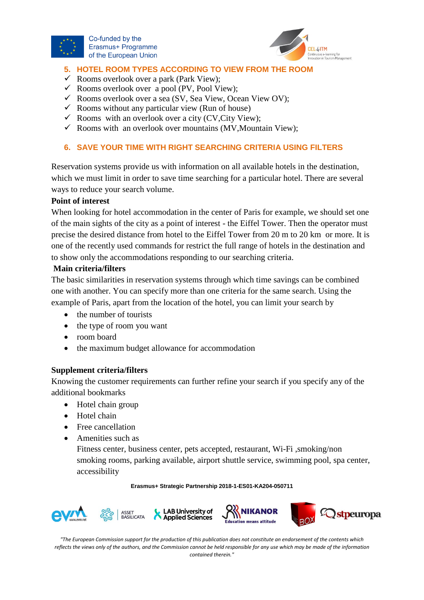

Co-funded by the Erasmus+ Programme of the European Union



#### l, **5. HOTEL ROOM TYPES ACCORDING TO VIEW FROM THE ROOM**

- $\checkmark$  Rooms overlook over a park (Park View);
- $\checkmark$  Rooms overlook over a pool (PV, Pool View);
- $\checkmark$  Rooms overlook over a sea (SV, Sea View, Ocean View OV);
- $\checkmark$  Rooms without any particular view (Run of house)
- $\checkmark$  Rooms with an overlook over a city (CV, City View);
- $\checkmark$  Rooms with an overlook over mountains (MV, Mountain View);

# **6. SAVE YOUR TIME WITH RIGHT SEARCHING CRITERIA USING FILTERS**

Reservation systems provide us with information on all available hotels in the destination, which we must limit in order to save time searching for a particular hotel. There are several ways to reduce your search volume.

## **Point of interest**

When looking for hotel accommodation in the center of Paris for example, we should set one of the main sights of the city as a point of interest - the Eiffel Tower. Then the operator must precise the desired distance from hotel to the Eiffel Tower from 20 m to 20 km or more. It is one of the recently used commands for restrict the full range of hotels in the destination and to show only the accommodations responding to our searching criteria.

## **Main criteria/filters**

The basic similarities in reservation systems through which time savings can be combined one with another. You can specify more than one criteria for the same search. Using the example of Paris, apart from the location of the hotel, you can limit your search by

- the number of tourists
- the type of room you want
- room board
- the maximum budget allowance for accommodation

### **Supplement criteria/filters**

Knowing the customer requirements can further refine your search if you specify any of the additional bookmarks

- Hotel chain group
- Hotel chain
- Free cancellation
- Amenities such as

Fitness center, business center, pets accepted, restaurant, Wi-Fi ,smoking/non smoking rooms, parking available, airport shuttle service, swimming pool, spa center, accessibility

#### **Erasmus+ Strategic Partnership 2018-1-ES01-KA204-050711**







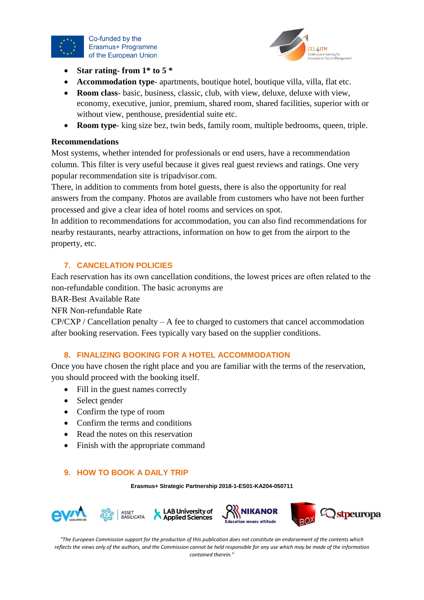

Co-funded by the Erasmus+ Programme of the European Union



- **Star rating- from 1\* to 5 \***
- **Accommodation type** apartments, boutique hotel, boutique villa, villa, flat etc.
- **Room class** basic, business, classic, club, with view, deluxe, deluxe with view, economy, executive, junior, premium, shared room, shared facilities, superior with or without view, penthouse, presidential suite etc.
- **Room type** king size bez, twin beds, family room, multiple bedrooms, queen, triple.

### **Recommendations**

Most systems, whether intended for professionals or end users, have a recommendation column. This filter is very useful because it gives real guest reviews and ratings. One very popular recommendation site is tripadvisor.com.

There, in addition to comments from hotel guests, there is also the opportunity for real answers from the company. Photos are available from customers who have not been further processed and give a clear idea of hotel rooms and services on spot.

In addition to recommendations for accommodation, you can also find recommendations for nearby restaurants, nearby attractions, information on how to get from the airport to the property, etc.

#### **7. CANCELATION POLICIES**

Еach reservation has its own cancellation conditions, the lowest prices are often related to the non-refundable condition. The basic acronyms are

BAR-Best Available Rate

NFR Non-refundable Rate

 $CP/CXP / C$ ancellation penalty – A fee to charged to customers that cancel accommodationafter booking reservation. Fees typically vary based on the supplier conditions.

## **8. FINALIZING BOOKING FOR A HOTEL ACCOMMODATION**

Once you have chosen the right place and you are familiar with the terms of the reservation, you should proceed with the booking itself.

- Fill in the guest names correctly
- Select gender
- Confirm the type of room
- Confirm the terms and conditions
- Read the notes on this reservation
- Finish with the appropriate command

### **9. HOW TO BOOK A DAILY TRIP**

**Erasmus+ Strategic Partnership 2018-1-ES01-KA204-050711**